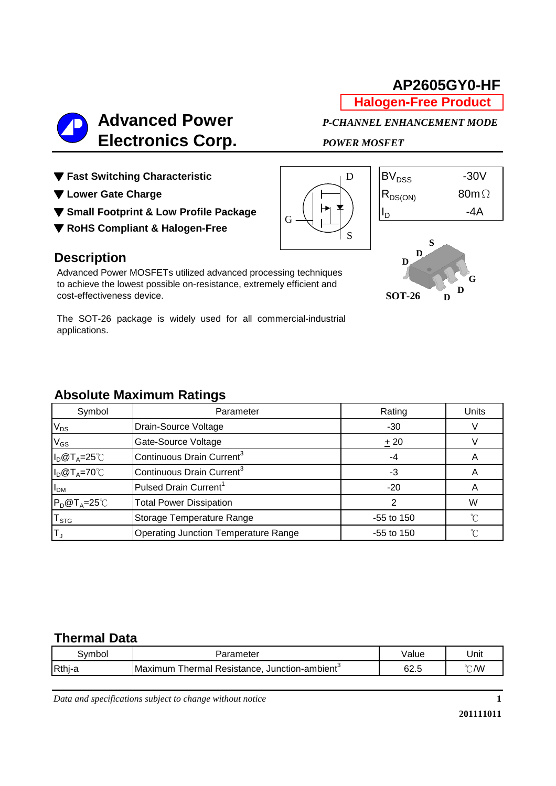# **Halogen-Free Product AP2605GY0-HF**



- ▼ Fast Switching Characteristic **BV**<sub>DSS</sub> -30V
- 
- ▼ Small Footprint & Low Profile Package  $\begin{bmatrix} | & | & | \ \end{bmatrix}$  |  $\begin{bmatrix} | & | & | \ \end{bmatrix}$  |  $\begin{bmatrix} | & | & | \ \end{bmatrix}$  -4A
- ▼ **RoHS Compliant & Halogen-Free**





**D D G**

**D**

**SOT-26**

## **Description**

Advanced Power MOSFETs utilized advanced processing techniques to achieve the lowest possible on-resistance, extremely efficient and cost-effectiveness device.

The SOT-26 package is widely used for all commercial-industrial applications.

## **Absolute Maximum Ratings**

| Symbol                      | Parameter                                   | Rating       | <b>Units</b> |
|-----------------------------|---------------------------------------------|--------------|--------------|
| $V_{DS}$                    | Drain-Source Voltage                        | $-30$        |              |
| $V_{GS}$                    | Gate-Source Voltage                         | ± 20         |              |
| $I_D@T_A=25°C$              | Continuous Drain Current <sup>3</sup>       | -4           |              |
| $I_D@T_A=70°C$              | Continuous Drain Current <sup>3</sup>       | -3           |              |
| I <sub>DM</sub>             | Pulsed Drain Current <sup>1</sup>           | $-20$        |              |
| $P_D@T_A=25^\circ C$        | <b>Total Power Dissipation</b>              |              | W            |
| $\mathsf{T}_{\textsf{STG}}$ | Storage Temperature Range                   | $-55$ to 150 | ∽            |
| $\mathsf{T}_\mathrm{J}$     | <b>Operating Junction Temperature Range</b> | $-55$ to 150 | ∽            |

## **Thermal Data**

| .vmbol | ameter                                                             | /alue | Unit           |
|--------|--------------------------------------------------------------------|-------|----------------|
| Rthj-  | Junction-ambient <sup>3</sup><br>Thermal<br>Resistance.<br>Maximum |       | $^{\circ}$ C/W |

*Data and specifications subject to change without notice*

**1**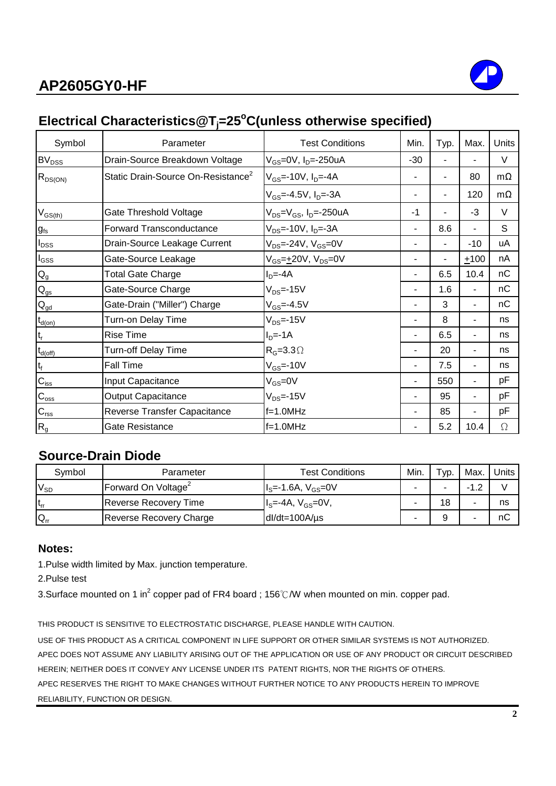# **AP2605GY0-HF**



# **Electrical Characteristics@Tj=25<sup>o</sup>C(unless otherwise specified)**

| Symbol                    | Parameter                                      | <b>Test Conditions</b>                                    | Min.  | Typ. | Max.                     | Units     |
|---------------------------|------------------------------------------------|-----------------------------------------------------------|-------|------|--------------------------|-----------|
| BV <sub>DSS</sub>         | Drain-Source Breakdown Voltage                 | V <sub>GS</sub> =0V, I <sub>D</sub> =-250uA               | $-30$ |      |                          | $\vee$    |
| $R_{DS(ON)}$              | Static Drain-Source On-Resistance <sup>2</sup> | $V_{GS}$ =-10V, $I_{D}$ =-4A                              |       |      | 80                       | $m\Omega$ |
|                           |                                                | $V_{GS}$ =-4.5V, I <sub>D</sub> =-3A                      |       |      | 120                      | $m\Omega$ |
| $V_{GS(th)}$              | Gate Threshold Voltage                         | V <sub>DS</sub> =V <sub>GS</sub> , I <sub>D</sub> =-250uA | $-1$  |      | $-3$                     | $\vee$    |
| $g_{fs}$                  | <b>Forward Transconductance</b>                | $V_{DS}$ =-10V, I <sub>D</sub> =-3A                       |       | 8.6  |                          | S         |
| $I_{\text{DSS}}$          | Drain-Source Leakage Current                   | $V_{DS}$ =-24V, $V_{GS}$ =0V                              |       |      | $-10$                    | uA        |
| $I_{GSS}$                 | Gate-Source Leakage                            | $V_{GS} = +20V$ , $V_{DS} = 0V$                           |       |      | $+100$                   | nA        |
| $\mathsf{Q}_{\mathsf{g}}$ | <b>Total Gate Charge</b>                       | $ID=-4A$                                                  |       | 6.5  | 10.4                     | nC        |
| $Q_{gs}$                  | Gate-Source Charge                             | $V_{DS}$ =-15V                                            |       | 1.6  | $\blacksquare$           | nC        |
| $\mathbf{Q}_{\text{gd}}$  | Gate-Drain ("Miller") Charge                   | $V_{GS} = -4.5V$                                          |       | 3    | $\overline{\phantom{0}}$ | nC        |
| $t_{d(on)}$               | Turn-on Delay Time                             | $V_{DS}$ =-15V                                            | ۰     | 8    | ٠                        | ns        |
| t,                        | <b>Rise Time</b>                               | $ID=-1A$                                                  |       | 6.5  | ٠                        | ns        |
| $t_{d{\rm (off)}}$        | Turn-off Delay Time                            | $R_G=3.3\Omega$                                           |       | 20   | ٠                        | ns        |
| $t_f$                     | <b>Fall Time</b>                               | $V_{GS} = -10V$                                           |       | 7.5  | $\blacksquare$           | ns        |
| $C_{\text{iss}}$          | Input Capacitance                              | $V_{GS} = 0V$                                             |       | 550  | $\blacksquare$           | pF        |
| $C_{\rm oss}$             | <b>Output Capacitance</b>                      | $V_{DS}$ =-15V                                            |       | 95   | ٠                        | pF        |
| $C_{\text{rss}}$          | Reverse Transfer Capacitance                   | $f=1.0MHz$                                                |       | 85   | Ξ.                       | рF        |
| $R_{g}$                   | Gate Resistance                                | $f=1.0MHz$                                                |       | 5.2  | 10.4                     | Ω         |

## **Source-Drain Diode**

| Symbol     | Parameter                       | <b>Test Conditions</b> | Min. | Тур. | Max. | Units |
|------------|---------------------------------|------------------------|------|------|------|-------|
| $V_{SD}$   | Forward On Voltage <sup>2</sup> | $IS=-1.6A, VGS=0V$     |      |      |      |       |
| $ t_{rr} $ | Reverse Recovery Time           | $IS=-4A, VGS=0V,$      |      | 18   |      | ns    |
| $Q_{rr}$   | <b>Reverse Recovery Charge</b>  | $dl/dt = 100A/\mu s$   |      |      |      | nC    |

### **Notes:**

1.Pulse width limited by Max. junction temperature.

2.Pulse test

3.Surface mounted on 1 in<sup>2</sup> copper pad of FR4 board ; 156℃/W when mounted on min. copper pad.

THIS PRODUCT IS SENSITIVE TO ELECTROSTATIC DISCHARGE, PLEASE HANDLE WITH CAUTION. USE OF THIS PRODUCT AS A CRITICAL COMPONENT IN LIFE SUPPORT OR OTHER SIMILAR SYSTEMS IS NOT AUTHORIZED. APEC DOES NOT ASSUME ANY LIABILITY ARISING OUT OF THE APPLICATION OR USE OF ANY PRODUCT OR CIRCUIT DESCRIBED HEREIN; NEITHER DOES IT CONVEY ANY LICENSE UNDER ITS PATENT RIGHTS, NOR THE RIGHTS OF OTHERS. APEC RESERVES THE RIGHT TO MAKE CHANGES WITHOUT FURTHER NOTICE TO ANY PRODUCTS HEREIN TO IMPROVE RELIABILITY, FUNCTION OR DESIGN.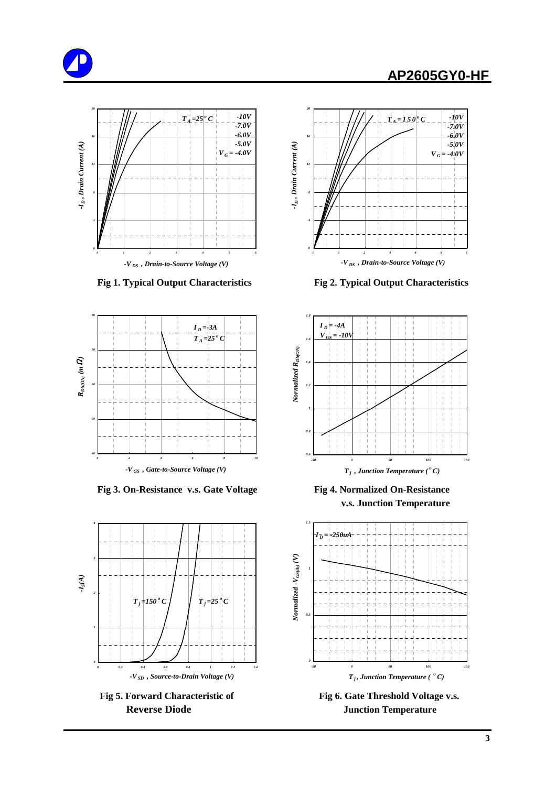## **AP2605GY0-HF**





 **Fig 3. On-Resistance v.s. Gate Voltage Fig 4. Normalized On-Resistance**





 **Fig 1. Typical Output Characteristics Fig 2. Typical Output Characteristics**



 **v.s. Junction Temperature**



Fig 5. Forward Characteristic of Fig 6. Gate Threshold Voltage v.s. **Reverse Diode Junction Temperature**